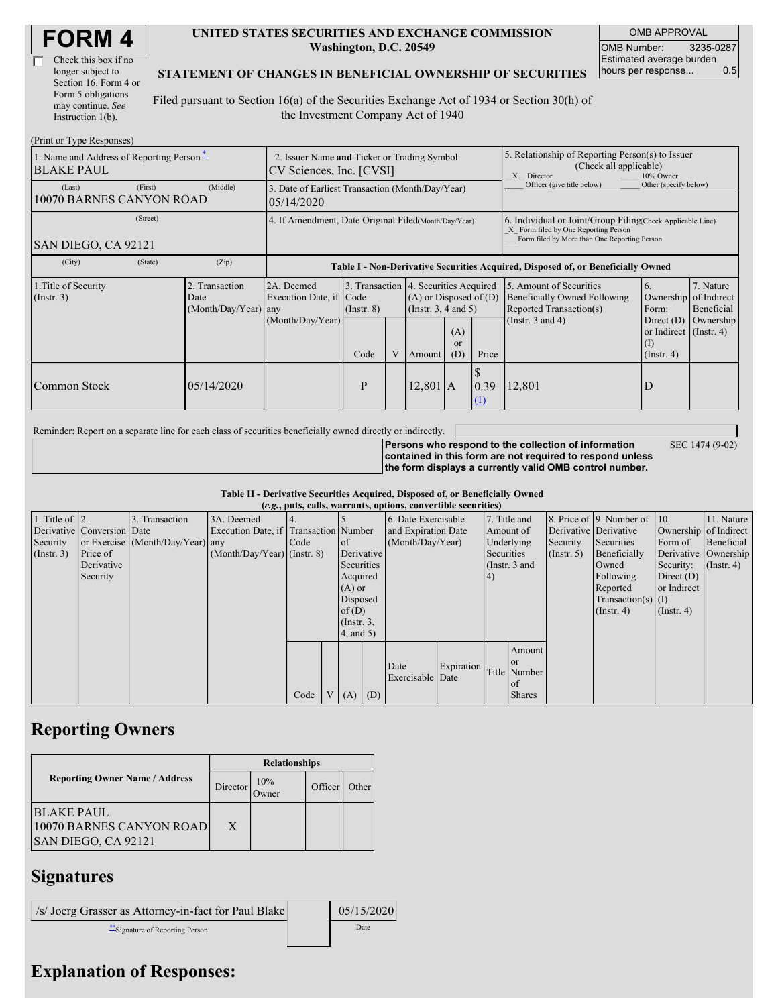| Check this box if no  |
|-----------------------|
| longer subject to     |
| Section 16. Form 4 or |
| Form 5 obligations    |
| may continue. See     |
| Instruction 1(b).     |

#### **UNITED STATES SECURITIES AND EXCHANGE COMMISSION Washington, D.C. 20549**

OMB APPROVAL OMB Number: 3235-0287 Estimated average burden hours per response... 0.5

SEC 1474 (9-02)

#### **STATEMENT OF CHANGES IN BENEFICIAL OWNERSHIP OF SECURITIES**

Filed pursuant to Section 16(a) of the Securities Exchange Act of 1934 or Section 30(h) of the Investment Company Act of 1940

| (Print or Type Responses)                                                                    |                                                                         |                                                                                              |                 |   |                                                                                            |                                                                                                                                                    |             |                                                                                    |                                                                      |                         |
|----------------------------------------------------------------------------------------------|-------------------------------------------------------------------------|----------------------------------------------------------------------------------------------|-----------------|---|--------------------------------------------------------------------------------------------|----------------------------------------------------------------------------------------------------------------------------------------------------|-------------|------------------------------------------------------------------------------------|----------------------------------------------------------------------|-------------------------|
| 1. Name and Address of Reporting Person-<br><b>BLAKE PAUL</b>                                | 2. Issuer Name and Ticker or Trading Symbol<br>CV Sciences, Inc. [CVSI] |                                                                                              |                 |   |                                                                                            | 5. Relationship of Reporting Person(s) to Issuer<br>(Check all applicable)<br>X Director<br>10% Owner                                              |             |                                                                                    |                                                                      |                         |
| (First)<br>(Last)<br>10070 BARNES CANYON ROAD                                                | (Middle)                                                                | Officer (give title below)<br>3. Date of Earliest Transaction (Month/Day/Year)<br>05/14/2020 |                 |   |                                                                                            |                                                                                                                                                    |             | Other (specify below)                                                              |                                                                      |                         |
| (Street)<br>SAN DIEGO, CA 92121                                                              | 4. If Amendment, Date Original Filed (Month/Day/Year)                   |                                                                                              |                 |   |                                                                                            | 6. Individual or Joint/Group Filing(Check Applicable Line)<br>X Form filed by One Reporting Person<br>Form filed by More than One Reporting Person |             |                                                                                    |                                                                      |                         |
| (City)<br>(State)                                                                            | (Zip)                                                                   | Table I - Non-Derivative Securities Acquired, Disposed of, or Beneficially Owned             |                 |   |                                                                                            |                                                                                                                                                    |             |                                                                                    |                                                                      |                         |
| 1. Title of Security<br>2. Transaction<br>$($ Instr. 3 $)$<br>Date<br>$(Month/Day/Year)$ any |                                                                         | 2A. Deemed<br>Execution Date, if Code                                                        | $($ Instr. $8)$ |   | 3. Transaction 4. Securities Acquired<br>$(A)$ or Disposed of $(D)$<br>(Instr. 3, 4 and 5) |                                                                                                                                                    |             | 5. Amount of Securities<br>Beneficially Owned Following<br>Reported Transaction(s) | 6.<br>Ownership of Indirect<br>Form:                                 | 7. Nature<br>Beneficial |
|                                                                                              |                                                                         | (Month/Day/Year)                                                                             | Code            | V | Amount                                                                                     | (A)<br><sub>or</sub><br>(D)                                                                                                                        | Price       | (Instr. $3$ and $4$ )                                                              | Direct $(D)$<br>or Indirect (Instr. 4)<br>$($ I)<br>$($ Instr. 4 $)$ | Ownership               |
| Common Stock                                                                                 | 05/14/2020                                                              |                                                                                              | P               |   | $12,801$ A                                                                                 |                                                                                                                                                    | 0.39<br>(1) | 12,801                                                                             | D                                                                    |                         |

Reminder: Report on a separate line for each class of securities beneficially owned directly or indirectly.

**Persons who respond to the collection of information contained in this form are not required to respond unless the form displays a currently valid OMB control number.**

**Table II - Derivative Securities Acquired, Disposed of, or Beneficially Owned**

|                        | (e.g., puts, calls, warrants, options, convertible securities) |                                  |                                       |      |  |                 |            |                     |            |            |                 |                  |                              |                  |                       |
|------------------------|----------------------------------------------------------------|----------------------------------|---------------------------------------|------|--|-----------------|------------|---------------------|------------|------------|-----------------|------------------|------------------------------|------------------|-----------------------|
| 1. Title of $\vert$ 2. |                                                                | 3. Transaction                   | 3A. Deemed                            |      |  |                 |            | 6. Date Exercisable |            |            | 7. Title and    |                  | 8. Price of 9. Number of 10. |                  | 11. Nature            |
|                        | Derivative Conversion Date                                     |                                  | Execution Date, if Transaction Number |      |  |                 |            | and Expiration Date |            | Amount of  |                 |                  | Derivative Derivative        |                  | Ownership of Indirect |
| Security               |                                                                | or Exercise (Month/Day/Year) any |                                       | Code |  | of              |            | (Month/Day/Year)    |            |            | Underlying      | Security         | Securities                   | Form of          | Beneficial            |
| (Insert. 3)            | Price of                                                       |                                  | $(Month/Day/Year)$ (Instr. 8)         |      |  |                 | Derivative |                     |            | Securities |                 | $($ Instr. 5 $)$ | Beneficially                 |                  | Derivative Ownership  |
|                        | Derivative                                                     |                                  |                                       |      |  | Securities      |            |                     |            |            | (Instr. $3$ and |                  | Owned                        | Security:        | $($ Instr. 4 $)$      |
|                        | Security                                                       |                                  |                                       |      |  | Acquired        |            |                     |            | 4)         |                 |                  | Following                    | Direct $(D)$     |                       |
|                        |                                                                |                                  |                                       |      |  | $(A)$ or        |            |                     |            |            |                 |                  | Reported                     | or Indirect      |                       |
|                        |                                                                |                                  |                                       |      |  | Disposed        |            |                     |            |            |                 |                  | $Transaction(s)$ (I)         |                  |                       |
|                        |                                                                |                                  |                                       |      |  | of(D)           |            |                     |            |            |                 |                  | $($ Instr. 4 $)$             | $($ Instr. 4 $)$ |                       |
|                        |                                                                |                                  |                                       |      |  | $($ Instr. $3,$ |            |                     |            |            |                 |                  |                              |                  |                       |
|                        |                                                                |                                  |                                       |      |  | $4$ , and $5$ ) |            |                     |            |            |                 |                  |                              |                  |                       |
|                        |                                                                |                                  |                                       |      |  |                 |            |                     |            |            | Amount          |                  |                              |                  |                       |
|                        |                                                                |                                  |                                       |      |  |                 |            |                     |            |            | or              |                  |                              |                  |                       |
|                        |                                                                |                                  |                                       |      |  |                 |            | Date                | Expiration |            | Title Number    |                  |                              |                  |                       |
|                        |                                                                |                                  |                                       |      |  |                 |            | Exercisable Date    |            |            | <sub>of</sub>   |                  |                              |                  |                       |
|                        |                                                                |                                  |                                       | Code |  | V(A)            | (D)        |                     |            |            | <b>Shares</b>   |                  |                              |                  |                       |

# **Reporting Owners**

|                                                                | <b>Relationships</b> |                     |         |       |  |  |  |
|----------------------------------------------------------------|----------------------|---------------------|---------|-------|--|--|--|
| <b>Reporting Owner Name / Address</b>                          | Director             | 10%<br><b>Tymer</b> | Officer | Other |  |  |  |
| IBLAKE PAUL<br>10070 BARNES CANYON ROAD<br>SAN DIEGO, CA 92121 | X                    |                     |         |       |  |  |  |

### **Signatures**

/s/ Joerg Grasser as Attorney-in-fact for Paul Blake  $\vert$  05/15/2020 \*\*Signature of Reporting Person Date

# **Explanation of Responses:**